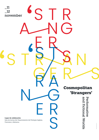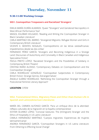# **Thursday, November 11**

## **9:30-11:00 Working Groups**

## **WG1. Cosmopolitan Trespassers and Racialized 'Strangers'**

EMILIA MARÍA DURÁN ALMARZA. 'Queer "Strangers" and Gendered Necropolitcs in West African Performance Text'

MIASOL EGUÍBAR HOLGADO. 'Reading and Writing the Cosmopolitan Stranger in Black Canadian Literature'

CARLA MARTÍNEZ DEL BARRIO. 'Strangered Migrants: Refugee Women and Girls in Contemporary British Literature'

VICENTE E. MONTES NOGALES. 'Cosmopolitismo en las letras oesteafricanas: impedimentos desde las dos orillas'

FERNANDO PÉREZ GARCÍA. 'Strangers and Becoming Indigenous in a Strange Land: Discourses of Autochtony and Conviviality in Black Canadian and Indigenous Speculative Fiction'

PAOLA PRIETO LÓPEZ. 'Racialized Strangers and the Possibilities of Solidariy in Contemporay British Theatre'

CRISTINA RIAÑO ALONSO. 'Contemporary Debates on Cosmopolitanism and the Cosmopolitan Stranger'

CARLA RODRÍGUEZ GONZÁLEZ. 'Cosmopolitan Subjectivities in Contemporary British Fiction: Strange Genres, Estranged Selves'

ÁNGELA SUÁREZ RODRÍGUEZ. 'Rethinking the Cosmopolitan Stranger through a Postcolonial Feminist Literary Approach'

## **LOCATION**: CIFEM

## **WG2. Transnational Ethics, Migratory Flows and Other-than-Human Life in Spanish and Latin(x)American Literatures**

MARÍA DEL CARMEN ALFONSO GARCÍA. 'Para un enfoque ético de la alteridad: reflejos culturales de la migración en la España contemporánea'

ESTHER ÁLVAREZ LÓPEZ. 'Convivial Gestures: The (Immigrant) Stranger and the Ethics of Hospitality in US Latinx Literature'

CAMILA HERNÁNDEZ MARTÍNEZ. 'Cuerpos migrantes: Experiencias de mujeres latinoamericanas'

ANDREA FERNÁNDEZ GARCÍA. 'Cosmopolitan Strangers in US Latina Literature: From Othering to Effecting Social Change'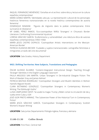RAQUEL FERNÁNDEZ MENÉNDEZ. 'Extrañas en el archivo: sobre ética y lectura en la cultura española contemporánea'

MARÍA GÓMEZ MARTÍN. 'Identidades ubicuas. La representación cultural de los personajes históricos femeninos transnacionales en la novela histórica contemporánea de autoría femenina'

DOMINIQUE NINANNE. 'Figures de migrants dans la poésie contemporaine. Entre survivance et résistance '

Mª ISABEL PÉREZ RAMOS. 'Eco-cosmopolitan Willful 'Strangers' in Chicana/o Border Literature: Confronting Environmental Injustices'

LORENA SÁNCHEZ GARCÍA. 'Ecofeminismo y vulnerabilidad: una relectura ética de autoras españolas contemporáneas (1850-1936)'

MARÍA JESÚS CASTRO DOPACIO. 'Cosmopolitan Artistic Interventions on the Mexican-American Border'

PATRICIA VILANOVA BECKER. 'Ciudades y sujetos transnacionales: cartografías feministas e inmigrantes a través del cine documental'

**LOCATION**: Sala Grados, History Department

## **WG3. Shifting Territories: New Subjects, Translations and Pedagogies**

ÓSCAR ALONSO ÁLVAREZ. 'Content-Integrated Instructional Design: Teaching through 'Stranger' Identities in the English Language Classroom'

PAULA ARGÜESO SAN MARTÍN. 'Urban 'Strangers' in De-industrial Glasgow Fiction: The Work of Alasdair Gray and James Kelman'

PATRICIA BASTIDA RODRÍGUEZ. 'Cosmopolitan Strangers and Muslim Identities in Mohsin Hamid's Migrant Novels'

CLARA BOTAMINO GONZÁLEZ. 'Cosmopolitan Strangers in Contemporary Women's Writing: The Edinburgh Gothic'

LUISA CAMPUZANO SENTÍ. 'Se acabó la magia: Trump y Biden cortan la circulación de ida y vuelta entre Cuba y USA'

JOSÉ IGOR PRIETO-ARRANZ. 'The Subversive Power of the Historical Turn in Contemporary Fiction'

MARÍA JESÚS SÁNCHEZ GARCÍA. 'Cosmopolitan Strangers in Contemporary Scottish Women's Xtopian Writing'

**LOCATION**: Sala Juntas Departamento Filología inglesa, francesa y alemana

## **11:00-11:30 Coffee Break**

**LOCATION**: First Floor, Central Hall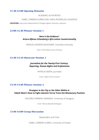#### **11:30-12:00 Opening Remarks**

ACADEMIC AUTHORITIES

ISABEL CARRERA SUÁREZ AND CARLA RODRÍGUEZ GONZÁLEZ

**LOCATION**: Sala Juntas Departamento Filología inglesa, francesa y alemana

#### **12:00-12.40 Plenary Session 1**

#### *'Here is the Evidence': Arturo Alfonso Schomburg's Afro-Latino Countervisuality*

FRANCES NEGRÓN MUNTANER. Columbia University

Chair: Emilia María Durán Almarza

## **12.40-13:10 Showcase Session 1**

## *Journalism for the Twenty-First Century: Reporting, Human Rights and Ecofeminism*

PATRICIA SIMÓN. Journalist

Chair: Isabel Carrera Suárez

## **13:10-13:40 Plenary Session 2**

## *Strangers in the City or the Other Within in Tabish Khair's* **How to Fight Islamist Terror from the Missionary Position**

DOLORES HERRERO GRANADO. University of Zaragoza

Chair: Patricia Bastida Rodríguez

1**3:40-14:00 Group Discussion**

Respondent and Chair:

ISABEL CARRERA SUÁREZ. University of Oviedo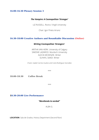#### **16:00-16:30 Plenary Session 3**

#### *The Vampire: A Cosmopolitan 'Stranger'*

LIZ RUSSELL. Rovira i Virgili University

Chair: Igor Prieto Arranz

## **16:30-18:00 Creative Authors and Roundtable Discussion (Online)**

#### *Writing Cosmopolitan 'Strangers'*

ARITHA VAN HERK. University of Calgary SIMONE LAZAROO. Murdoch University ALECIA MCKENZIE. Writer SUHAYL SAADI. Writer

Chairs: Isabel Carrera Suárez and Carla Rodríguez González

\*\*\*

**18:00-18:30 Coffee Break**

\*\*\*

#### **18:30-20:00 Live Performance**

*"Mordiendo la verdad"*

ALBA G.

**LOCATION**: Sala de Grados, History Department (Second floor)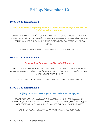## **Friday, November 12**

## **10:00-10:30 Roundtable 1**

## *Transnational Ethics, Migratory Flows and Other-than-Human life in Spanish and Latin(x)American Literatures*

CAMILA HERNÁNDEZ MARTÍNEZ, ANDREA FERNÁNDEZ GARCÍA, RAQUEL FERNÁNDEZ MENÉNDEZ, MARÍA GÓMEZ MARTÍN, DOMINIQUE NINANNE, Mª ISABEL PÉREZ RAMOS, LORENA SÁNCHEZ GARCÍA, MARÍA JESÚS CASTRO DOPACIO, PATRICIA VILANOVA BECKER

Chairs: ESTHER ÁLVAREZ LÓPEZ AND CARMEN ALFONSO GARCÍA

## **10:30-11:00 Roundtable 2**

#### *Cosmopolitan Trespassers and Racialized 'Strangers'*

MIASOL EGUÍBAR HOLGADO, CARLA MARTÍNEZ DEL BARRIO, VICENTE E. MONTES NOGALES, FERNANDO PÉREZ GARCÍA, PAOLA PRIETO LÓPEZ, CRISTINA RIAÑO ALONSO, ÁNGELA RODRÍGUEZ SUÁREZ

Chairs: CARLA RODRÍGUEZ GONZÁLEZ AND EMILIA M. DURÁN ALMARZA

## **11:00-11:30 Roundtable 3**

#### *Shifting Territories: New Subjects, Translations and Pedagogies*

ÓSCAR ALONSO ÁLVAREZ, PAULA ARGÜESO SAN MARTÍN, PATRICIA BASTIDA RODRÍGUEZ, CLARA BOTAMINO GONZÁLEZ, LUISA CAMPUZANO, LUCÍA PRADA, JOSÉ IGOR PRIETO-ARRANZ, MARÍA JESÚS SÁNCHEZ GARCÍA, ALEJANDRA TORRES

Chairs:: ISABEL CARRERA SUÁREZ AND CRISTINA VALDÉS RODRÍGUEZ

**11:30-12:00 Coffee Break**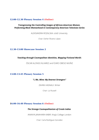## **12:00-12.30 Plenary Session 4 (Online)**

#### *Transgressing the Controlling Images of African-American Women. Performing Black Womanhood in Contemporary American Television Series*

ALEKSANDRA ROZALSKA. Łódź University

Chair: Esther Álvarez López

#### **12.30-13:00 Showcase Session 2**

*Teaching through Cosmopolitan Identities, Mapping Fictional World*s

ÓSCAR ALONSO ÁLVAREZ and ÍCARO OBESO MUÑIZ

#### **13:00-13:45 Plenary Session 5**

*"I, Me, Mine: My Dearest Strangers"*

ZAHRA HASNAUI. Writer

Chair: Liz Russell

## **16:00-16:40 Plenary Session 6 (Online)**

*The Strange Cosmopolitanism of Creole Indias*

ANANYA JANAHARA KABIR. King's College London

Chair: Carla Rodríguez González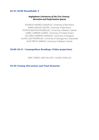#### **16:45-18:00 Roundtable 4**

#### *Anglophone Literatures of the 21st Century. Narrative and Performative Spaces*

RODRIGO ANDRÉS GONZÁLEZ. University of Barcelona MIREIA ARAGAY SASTRE. University of Barcelona PATRICIA BASTIDA RODRÍGUEZ. University of Balearic Islands ISABEL CARRERA SUÁREZ. University of Oviedo (Chair) DOLORES HERRERO GRANADO. University of Zaragoza LAURA LOJO RODRÍGUEZ. University of Santiago de Compostela IGOR PRIETO ARRANZ. University of Balearic Islands

#### **18:00-18:15 Cosmopolitan Readings (Video projection)**

SARA TORRES, AIDA FALCÓN Y LAURA CASIELLES

**18:30 Closing Discussion and Final Remarks**